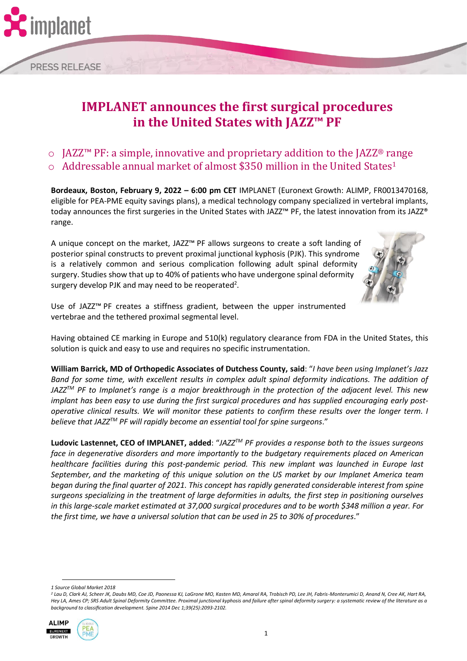

o JAZZ™ PF: a simple, innovative and proprietary addition to the JAZZ® range  $\circ$  Addressable annual market of almost \$350 million in the United States<sup>1</sup>

**Bordeaux, Boston, February 9, 2022 – 6:00 pm CET** IMPLANET (Euronext Growth: ALIMP, FR0013470168, eligible for PEA-PME equity savings plans), a medical technology company specialized in vertebral implants, today announces the first surgeries in the United States with JAZZ™ PF, the latest innovation from its JAZZ® range.

A unique concept on the market, JAZZ™ PF allows surgeons to create a soft landing of posterior spinal constructs to prevent proximal junctional kyphosis (PJK). This syndrome is a relatively common and serious complication following adult spinal deformity surgery. Studies show that up to 40% of patients who have undergone spinal deformity surgery develop PJK and may need to be reoperated<sup>2</sup>.



Use of JAZZ™ PF creates a stiffness gradient, between the upper instrumented vertebrae and the tethered proximal segmental level.

Having obtained CE marking in Europe and 510(k) regulatory clearance from FDA in the United States, this solution is quick and easy to use and requires no specific instrumentation.

**William Barrick, MD of Orthopedic Associates of Dutchess County, said**: "*I have been using Implanet's Jazz Band for some time, with excellent results in complex adult spinal deformity indications. The addition of JAZZTM PF to Implanet's range is a major breakthrough in the protection of the adjacent level. This new implant has been easy to use during the first surgical procedures and has supplied encouraging early postoperative clinical results. We will monitor these patients to confirm these results over the longer term. I believe that JAZZTM PF will rapidly become an essential tool for spine surgeons*."

**Ludovic Lastennet, CEO of IMPLANET, added**: "*JAZZTM PF provides a response both to the issues surgeons face in degenerative disorders and more importantly to the budgetary requirements placed on American healthcare facilities during this post-pandemic period. This new implant was launched in Europe last September, and the marketing of this unique solution on the US market by our Implanet America team began during the final quarter of 2021. This concept has rapidly generated considerable interest from spine surgeons specializing in the treatment of large deformities in adults, the first step in positioning ourselves in this large-scale market estimated at 37,000 surgical procedures and to be worth \$348 million a year. For the first time, we have a universal solution that can be used in 25 to 30% of procedures*."

*<sup>2</sup> Lau D, Clark AJ, Scheer JK, Daubs MD, Coe JD, Paonessa KJ, LaGrone MO, Kasten MD, Amaral RA, Trobisch PD, Lee JH, Fabris-Monterumici D, Anand N, Cree AK, Hart RA, Hey LA, Ames CP; SRS Adult Spinal Deformity Committee. Proximal junctional kyphosis and failure after spinal deformity surgery: a systematic review of the literature as a background to classification development. Spine 2014 Dec 1;39(25):2093-2102.*



nolanet

**PRESS RELEASE** 

*<sup>1</sup> Source Global Market 2018*